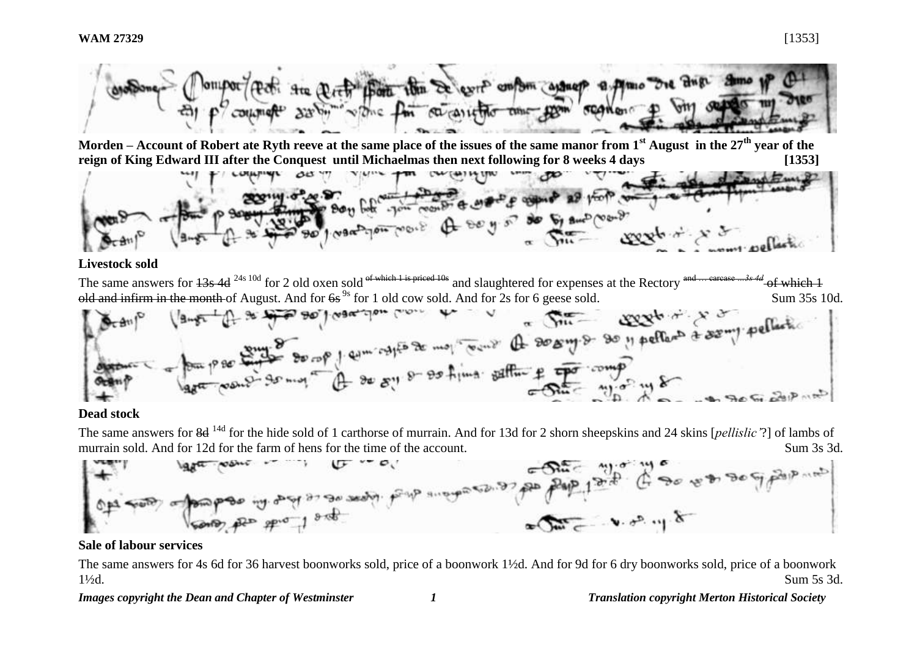

**Morden – Account of Robert ate Ryth reeve at the same place of the issues of the same manor from 1st August in the 27th year of the reign of King Edward III after the Conquest until Michaelmas then next following for 8 weeks 4 days [1353]**



#### **Livestock sold**

The same answers for  $13s$  4d <sup>24s 10d</sup> for 2 old oxen sold of which 1 is priced 10s and slaughtered for expenses at the Rectory and … carcase …3s 4d of which 1 old and infirm in the month of August. And for  $6s^{9s}$  for 1 old cow sold. And for 2s for 6 geese sold. Sum 35s 10d.

$$
\frac{1}{\frac{1}{2}}\int_{\frac{1}{2}}^{\frac{1}{2}} \frac{1}{\sqrt{1-x^2}} \int_{0}^{\frac{1}{2}} \frac{1}{\sqrt{1-x^2}} \int_{0}^{\frac{1}{2}} \frac{1}{\sqrt{1-x^2}} \int_{0}^{\frac{1}{2}} \frac{1}{\sqrt{1-x^2}} \int_{0}^{\frac{1}{2}} \frac{1}{\sqrt{1-x^2}} \int_{0}^{\frac{1}{2}} \frac{1}{\sqrt{1-x^2}} \int_{0}^{\frac{1}{2}} \frac{1}{\sqrt{1-x^2}} \int_{0}^{\frac{1}{2}} \frac{1}{\sqrt{1-x^2}} \int_{0}^{\frac{1}{2}} \frac{1}{\sqrt{1-x^2}} \int_{0}^{\frac{1}{2}} \frac{1}{\sqrt{1-x^2}} \int_{0}^{\frac{1}{2}} \frac{1}{\sqrt{1-x^2}} \int_{0}^{\frac{1}{2}} \frac{1}{\sqrt{1-x^2}} \int_{0}^{\frac{1}{2}} \frac{1}{\sqrt{1-x^2}} \int_{0}^{\frac{1}{2}} \frac{1}{\sqrt{1-x^2}} \int_{0}^{\frac{1}{2}} \frac{1}{\sqrt{1-x^2}} \int_{0}^{\frac{1}{2}} \frac{1}{\sqrt{1-x^2}} \int_{0}^{\frac{1}{2}} \frac{1}{\sqrt{1-x^2}} \int_{0}^{\frac{1}{2}} \frac{1}{\sqrt{1-x^2}} \int_{0}^{\frac{1}{2}} \frac{1}{\sqrt{1-x^2}} \int_{0}^{\frac{1}{2}} \frac{1}{\sqrt{1-x^2}} \int_{0}^{\frac{1}{2}} \frac{1}{\sqrt{1-x^2}} \int_{0}^{\frac{1}{2}} \frac{1}{\sqrt{1-x^2}} \int_{0}^{\frac{1}{2}} \frac{1}{\sqrt{1-x^2}} \int_{0}^{\frac{1}{2}} \frac{1}{\sqrt{1-x^2}} \int_{0}^{\frac{1}{2}} \frac{1}{\sqrt{1-x^2}} \int_{0}^{\frac{1}{2}} \frac{1}{\sqrt{1-x^2}} \int_{0}^{\frac{1}{2}} \frac{1}{\sqrt{1-x^2}} \int_{0}^{\frac{1}{2}} \frac{1}{\sqrt{1-x^2}} \int_{0}^{\frac{1}{2}} \frac
$$

#### **Dead stock**

The same answers for 8d 14d for the hide sold of 1 carthorse of murrain. And for 13d for 2 shorn sheepskins and 24 skins [*pellislic'*?] of lambs of murrain sold. And for 12d for the farm of hens for the time of the account. Sum 3s 3d.



## **Sale of labour services**

The same answers for 4s 6d for 36 harvest boonworks sold, price of a boonwork 1½d. And for 9d for 6 dry boonworks sold, price of a boonwork 1½d. Sum 5s 3d.

*Images copyright the Dean and Chapter of Westminster 1 Translation copyright Merton Historical Society*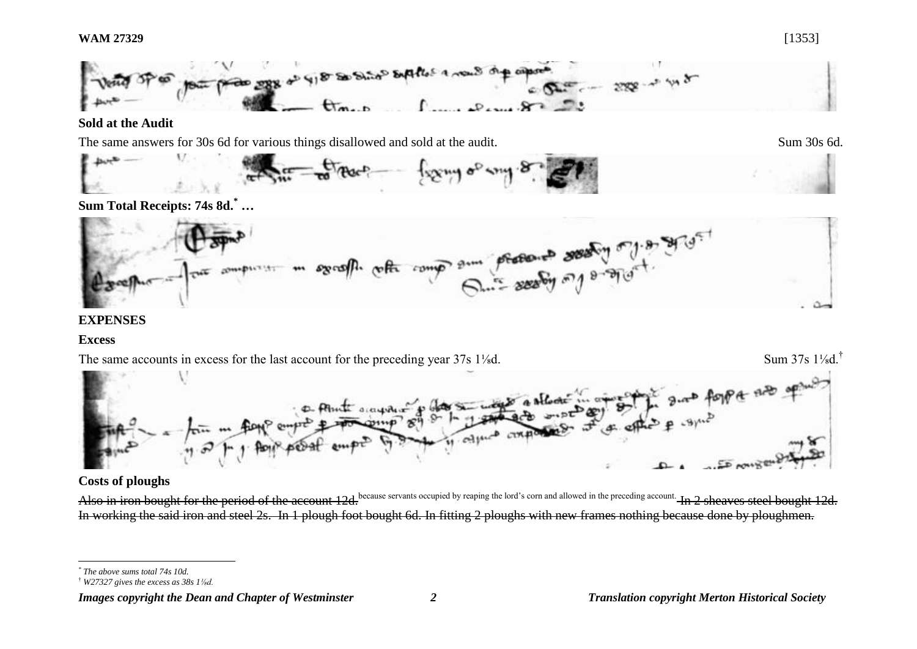

#### **Sold at the Audit**

The same answers for 30s 6d for various things disallowed and sold at the audit. Sum 30s 6d.



# **Sum Total Receipts: 74s 8d.\* …**



## **EXPENSES**

## **Excess**

The same accounts in excess for the last account for the preceding year 37s 1<sup>1</sup>/<sub>8</sub>d. Sum 37s 1<sup>1</sup>/<sub>8</sub>d.<sup>†</sup> forper nue of

# **Costs of ploughs**

Also in iron bought for the period of the account 12d.<sup>because servants occupied by reaping the lord's corn and allowed in the preceding account. In 2 sheaves steel bought 12d.</sup> In working the said iron and steel 2s. In 1 plough foot bought 6d. In fitting 2 ploughs with new frames nothing because done by ploughmen.

l

#### *Images copyright the Dean and Chapter of Westminster 2 Translation copyright Merton Historical Society*

*<sup>\*</sup> The above sums total 74s 10d.* 

<sup>†</sup> *W27327 gives the excess as 38s 1⅛d.*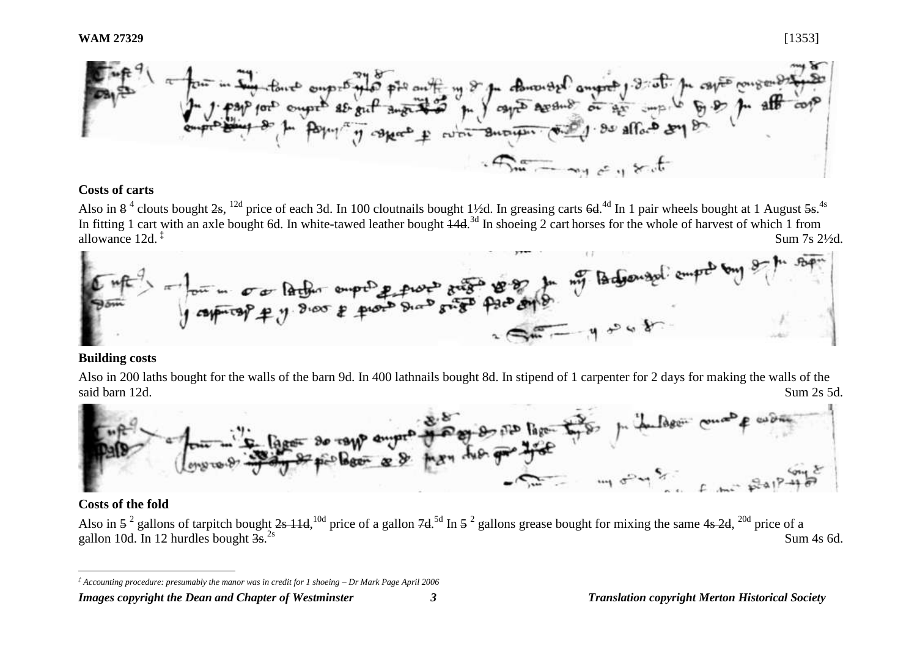

## **Costs of carts**

Also in  $8^4$  clouts bought  $2s$ ,  $^{12d}$  price of each 3d. In 100 cloutnails bought 1½d. In greasing carts  $6d$ .<sup>4d</sup> In 1 pair wheels bought at 1 August  $5s$ .<sup>4s</sup> In fitting 1 cart with an axle bought 6d. In white-tawed leather bought  $\frac{14d}{3}$  In shoeing 2 cart horses for the whole of harvest of which 1 from allowance 12d. ‡ Sum 7s 2½d.



#### **Building costs**

Also in 200 laths bought for the walls of the barn 9d. In 400 lathnails bought 8d. In stipend of 1 carpenter for 2 days for making the walls of the



## **Costs of the fold**

 $\overline{a}$ 

Also in  $5^2$  gallons of tarpitch bought  $2s$  11d,  $10d$  price of a gallon  $7d$ . <sup>5d</sup> In  $5^2$  gallons grease bought for mixing the same 4s  $2d$ ,  $20d$  price of a gallon 10d. In 12 hurdles bought  $3s^{2s}$ .  $\sum_{2s}$  Sum 4s 6d.

*<sup>‡</sup> Accounting procedure: presumably the manor was in credit for 1 shoeing – Dr Mark Page April 2006*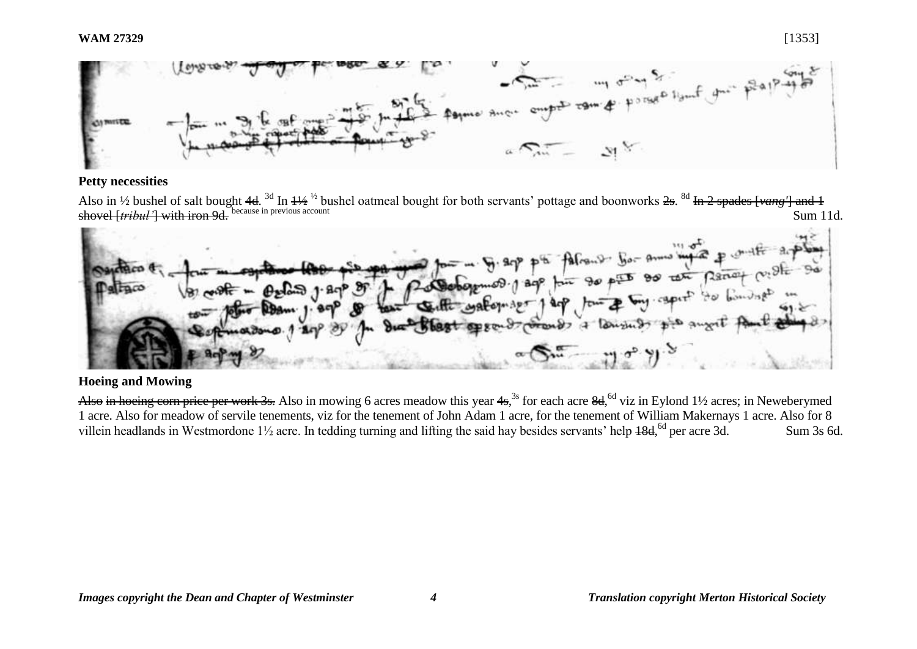#### **WAM 27329** [1353]



#### **Petty necessities**

Also in 1/2 bushel of salt bought 4d. <sup>3d</sup> In <del>11/2</del> <sup>1/2</sup> bushel oatmeal bought for both servants' pottage and boonworks <del>2s</del>. <sup>8d</sup> In 2 spades [vang'] and 1 shovel [*tribul'*] with iron 9d. because in previous account Sum 11d.



#### **Hoeing and Mowing**

Also in hoeing corn price per work 3s. Also in mowing 6 acres meadow this year 4s,<sup>3s</sup> for each acre 8d,<sup>6d</sup> viz in Eylond 1½ acres; in Neweberymed 1 acre. Also for meadow of servile tenements, viz for the tenement of John Adam 1 acre, for the tenement of William Makernays 1 acre. Also for 8 villein headlands in Westmordone 1<sup>1</sup>/<sub>2</sub> acre. In tedding turning and lifting the said hay besides servants' help 18d, <sup>6d</sup> per acre 3d. Sum 3s 6d.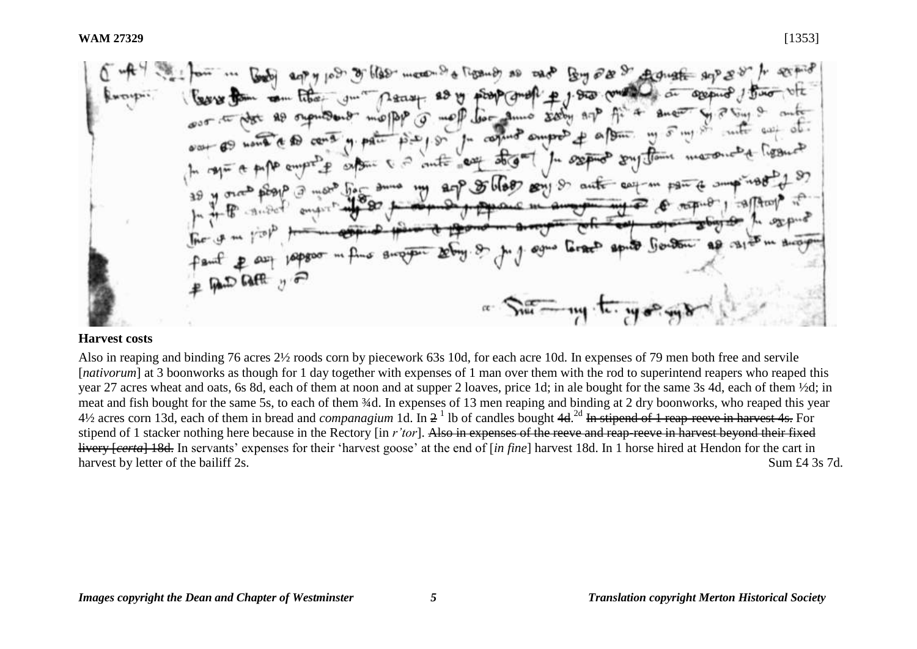$668$  meth  $94$ Tippeness as  $R_{\text{out}} \partial N$  of Arthur  $h_0 = 3$ uno XXOH  $\sigma$ fu coguro supre gout Gouton **BAD BAFR** 2 F  $\pi$   $\sum_{\mathbf{u}}$   $\pi$   $\mathbf{u}$ .

#### **Harvest costs**

Also in reaping and binding 76 acres 2½ roods corn by piecework 63s 10d, for each acre 10d. In expenses of 79 men both free and servile [*nativorum*] at 3 boonworks as though for 1 day together with expenses of 1 man over them with the rod to superintend reapers who reaped this year 27 acres wheat and oats, 6s 8d, each of them at noon and at supper 2 loaves, price 1d; in ale bought for the same 3s 4d, each of them ½d; in meat and fish bought for the same 5s, to each of them ¾d. In expenses of 13 men reaping and binding at 2 dry boonworks, who reaped this year 4½ acres corn 13d, each of them in bread and *companagium* 1d. In 2 1 lb of candles bought 4d. 2d In stipend of 1 reap-reeve in harvest 4s. For stipend of 1 stacker nothing here because in the Rectory [in *r'tor*]. Also in expenses of the reeve and reap-reeve in harvest beyond their fixed livery [*certa*] 18d. In servants' expenses for their 'harvest goose' at the end of [*in fine*] harvest 18d. In 1 horse hired at Hendon for the cart in harvest by letter of the bailiff 2s. Sum £4 3s 7d.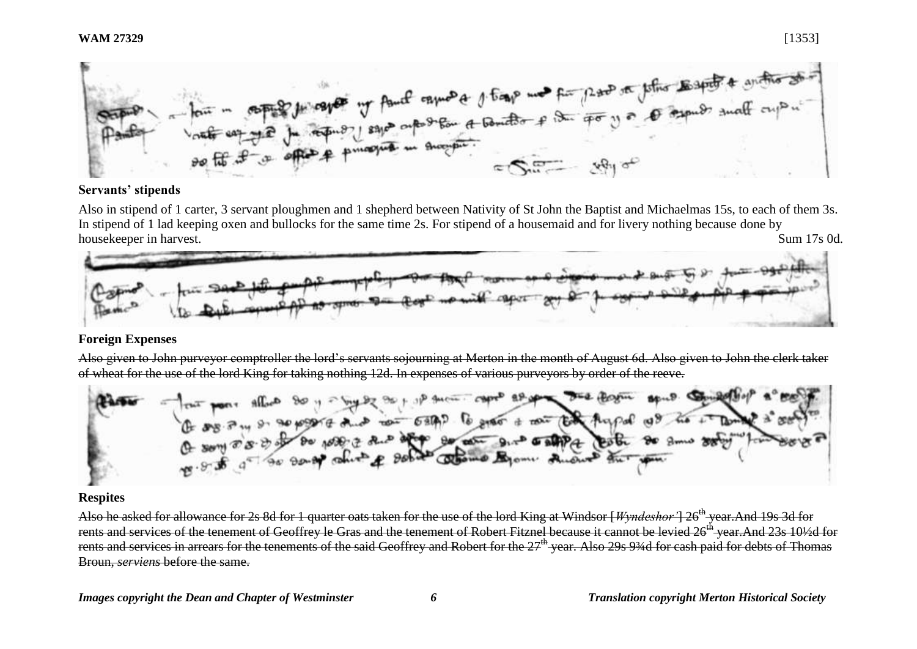

#### **Servants' stipends**

Also in stipend of 1 carter, 3 servant ploughmen and 1 shepherd between Nativity of St John the Baptist and Michaelmas 15s, to each of them 3s. In stipend of 1 lad keeping oxen and bullocks for the same time 2s. For stipend of a housemaid and for livery nothing because done by housekeeper in harvest. Sum 17s 0d.



## **Foreign Expenses**

Also given to John purveyor comptroller the lord's servants sojourning at Merton in the month of August 6d. Also given to John the clerk taker



## **Respites**

Also he asked for allowance for 2s 8d for 1 quarter oats taken for the use of the lord King at Windsor [*Wyndeshor*'] 26<sup>th</sup> year.And 19s 3d for rents and services of the tenement of Geoffrey le Gras and the tenement of Robert Fitznel because it cannot be levied 26<sup>th</sup> year.And 23s 10½d for rents and services in arrears for the tenements of the said Geoffrey and Robert for the 27<sup>th</sup> year. Also 29s 93/4d for cash paid for debts of Thomas Broun, *serviens* before the same.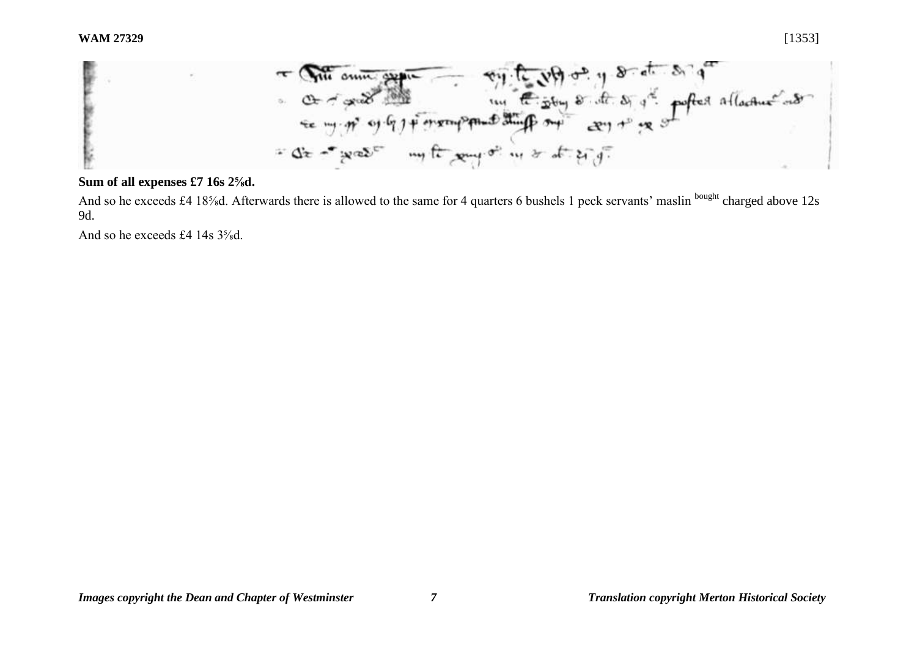

#### **Sum of all expenses £7 16s 2⅝d.**

And so he exceeds £4 18<sup>5</sup>/<sub>8</sub>d. Afterwards there is allowed to the same for 4 quarters 6 bushels 1 peck servants' maslin <sup>bought</sup> charged above 12s 9d.

And so he exceeds £4 14s  $3\frac{5}{8}$ d.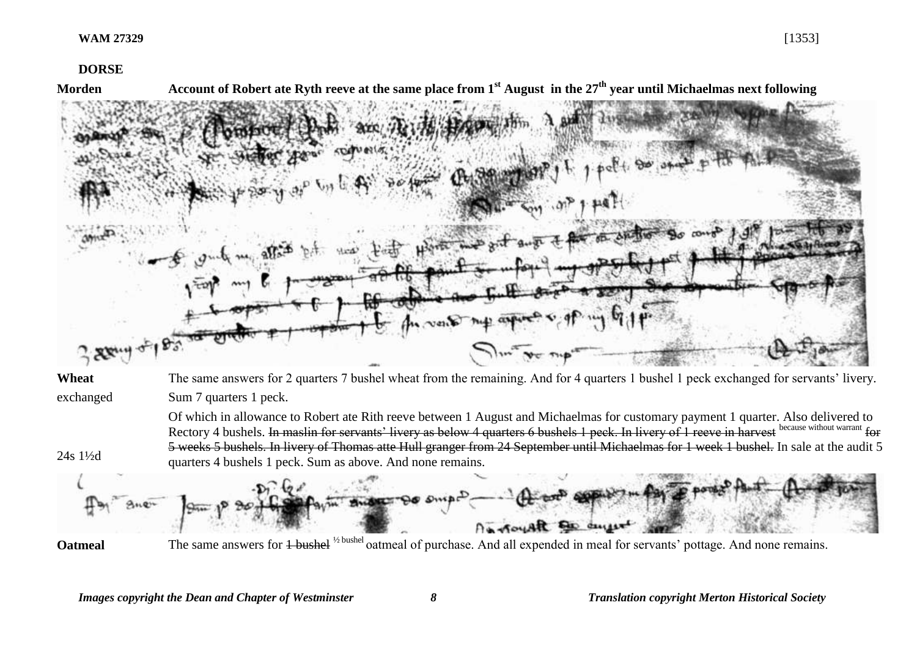**DORSE**

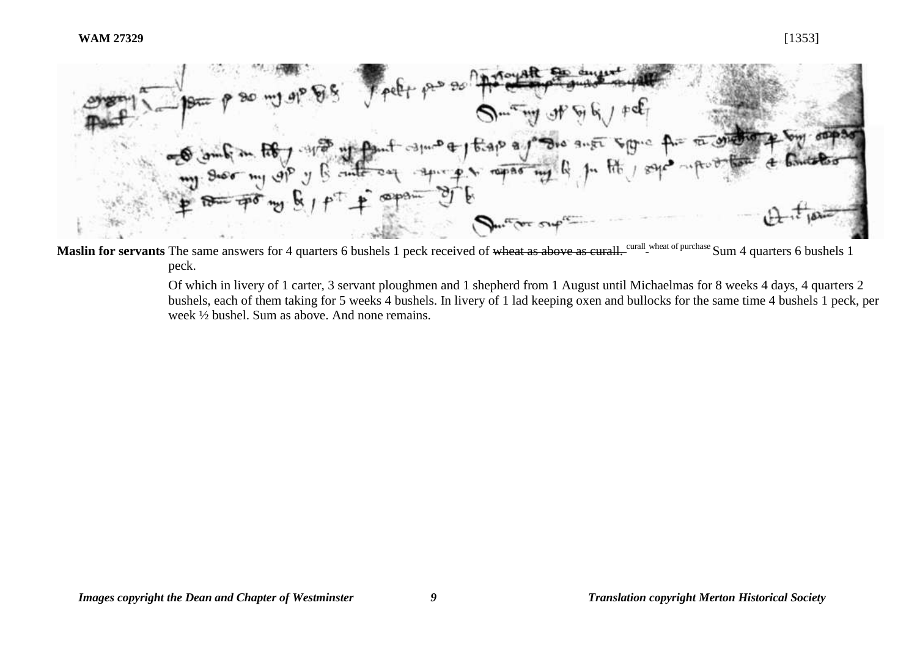

Maslin for servants The same answers for 4 quarters 6 bushels 1 peck received of wheat as above as curall. Curall wheat of purchase Sum 4 quarters 6 bushels 1 peck.

> Of which in livery of 1 carter, 3 servant ploughmen and 1 shepherd from 1 August until Michaelmas for 8 weeks 4 days, 4 quarters 2 bushels, each of them taking for 5 weeks 4 bushels. In livery of 1 lad keeping oxen and bullocks for the same time 4 bushels 1 peck, per week ½ bushel. Sum as above. And none remains.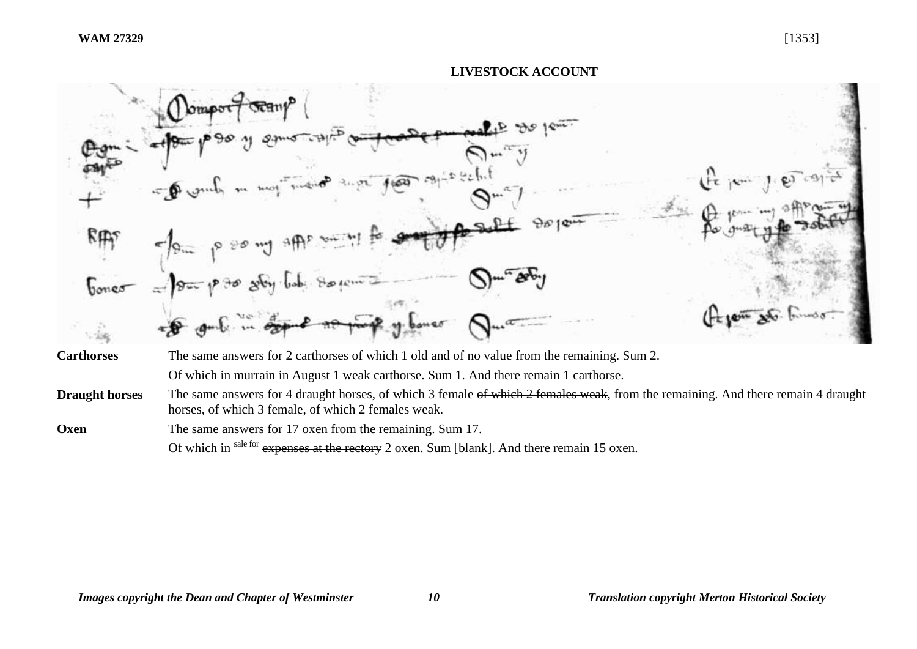

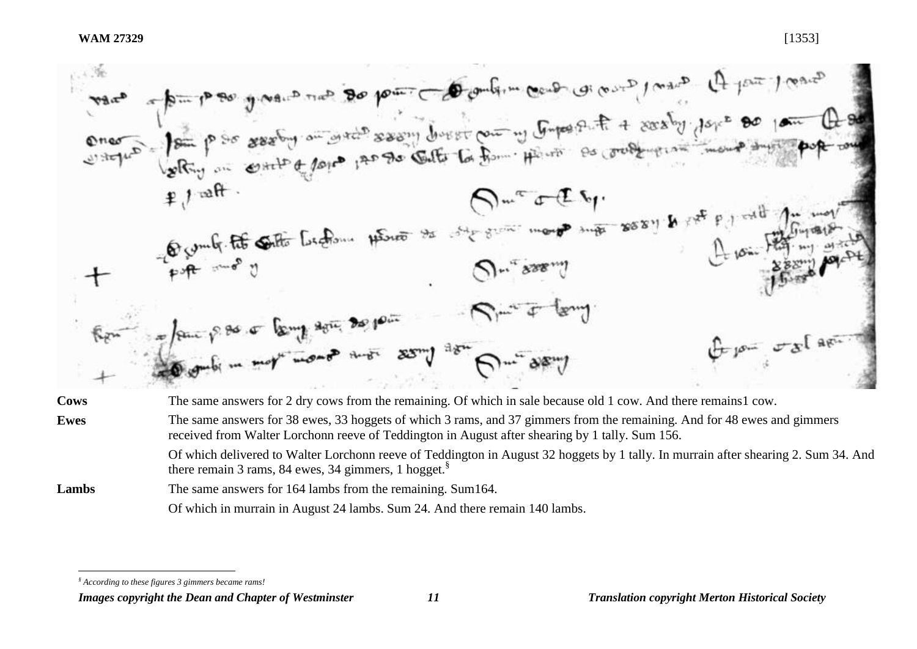|             | Mar 1 pm p 80 june 20 pm pm de politim condition of ant 1 pm / mars                                                                                                                                                            |
|-------------|--------------------------------------------------------------------------------------------------------------------------------------------------------------------------------------------------------------------------------|
|             |                                                                                                                                                                                                                                |
|             |                                                                                                                                                                                                                                |
|             | ence Jan pour sessant au sessant diverti pour un Gupertint a sessant jeux de la Charles de                                                                                                                                     |
|             | $Q_{m_c}$ and $\epsilon$ .                                                                                                                                                                                                     |
|             | Future of the South Contents to the state of the season & the printing of the season of the season of the season of the season of the season of the season of the season of the season of the season of the season of the seas |
|             |                                                                                                                                                                                                                                |
|             |                                                                                                                                                                                                                                |
|             | $Q_{m}$ see $\hat{U}$                                                                                                                                                                                                          |
|             |                                                                                                                                                                                                                                |
|             | $\overline{\mathcal{S}} = \mathcal{S} = \mathcal{S}$                                                                                                                                                                           |
|             | $f_{\text{t}}$ $\int_{\mathbb{R}^n} \sigma \mathcal{L} \left[ \frac{1}{n} \right]$                                                                                                                                             |
|             | Jeux pas et language de pour son Amir et le                                                                                                                                                                                    |
| <b>Cows</b> | The same answers for 2 dry cows from the remaining. Of which in sale because old 1 cow. And there remains1 cow.                                                                                                                |
| <b>Ewes</b> | The same answers for 38 ewes, 33 hoggets of which 3 rams, and 37 gimmers from the remaining. And for 48 ewes and gimmers                                                                                                       |

received from Walter Lorchonn reeve of Teddington in August after shearing by 1 tally. Sum 156.

Of which delivered to Walter Lorchonn reeve of Teddington in August 32 hoggets by 1 tally. In murrain after shearing 2. Sum 34. And there remain 3 rams, 84 ewes, 34 gimmers, 1 hogget.§

Lambs The same answers for 164 lambs from the remaining. Sum164. Of which in murrain in August 24 lambs. Sum 24. And there remain 140 lambs.

 $\overline{a}$ 

*Images copyright the Dean and Chapter of Westminster 11 Translation copyright Merton Historical Society*

*<sup>§</sup> According to these figures 3 gimmers became rams!*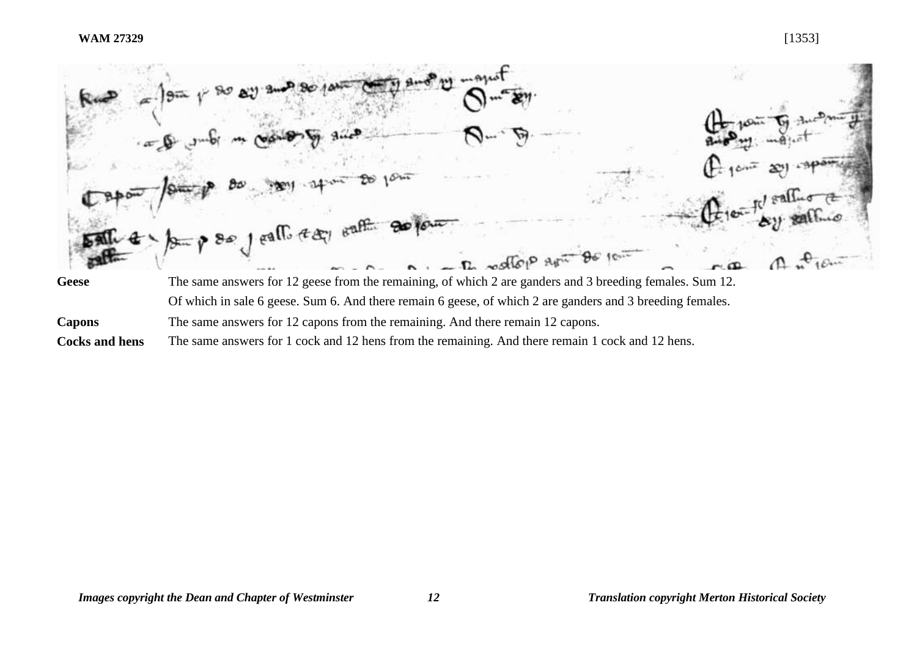

**Capons** The same answers for 12 capons from the remaining. And there remain 12 capons.

**Cocks and hens** The same answers for 1 cock and 12 hens from the remaining. And there remain 1 cock and 12 hens.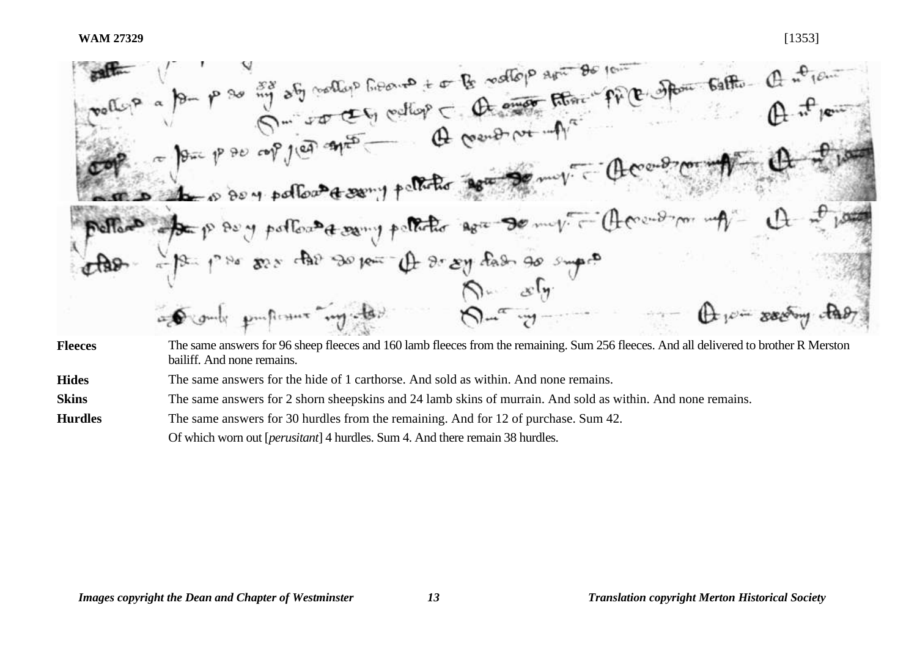WAM 27329<br>
WAM 27329<br>
WORLES a for p so my off of collap heart to be valley and the form of the other Galile Q at 14<br>
Collapse p so copy of the other C collapse of the other product of  $\theta$ .<br>
Collapse p so copy of the oth De the order pollowed sony politic age of my nelles of paper of pollowater y polloto again to my The 1/2 par par des sous- A se sy dans so super Fleeces The same answers for 96 sheep fleeces and 160 lamb fleeces from the remaining. Sum 256 fleeces. And all delivered to brother R Merston bailiff. And none remains.

**Hides** The same answers for the hide of 1 carthorse. And sold as within. And none remains.

**Skins** The same answers for 2 shorn sheepskins and 24 lamb skins of murrain. And sold as within. And none remains.

**Hurdles** The same answers for 30 hurdles from the remaining. And for 12 of purchase. Sum 42.

Of which worn out [*perusitant*] 4 hurdles. Sum 4. And there remain 38 hurdles.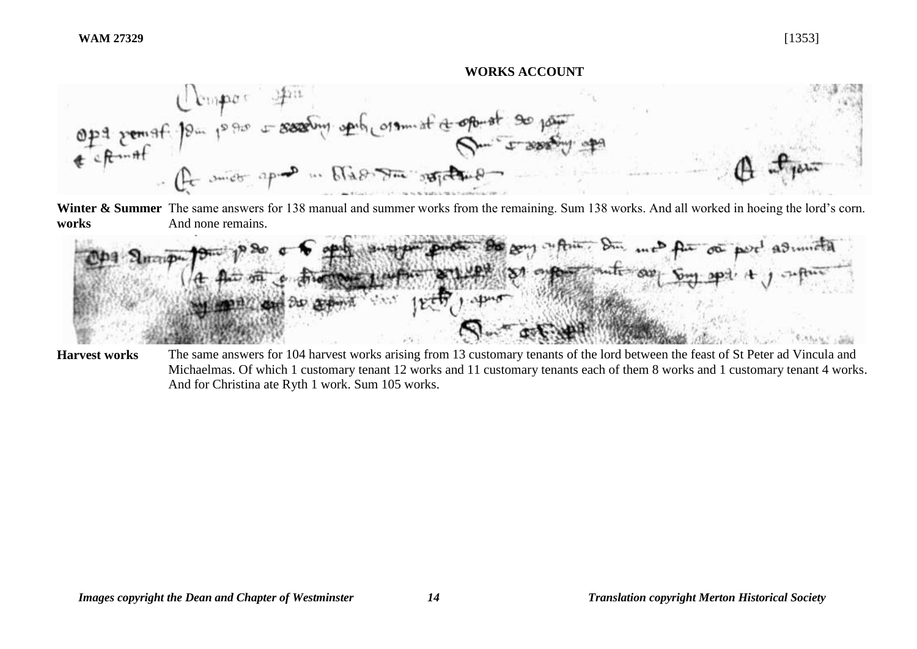#### **WORKS ACCOUNT**



Winter & Summer The same answers for 138 manual and summer works from the remaining. Sum 138 works. And all worked in hoeing the lord's corn. **works**  And none remains.



**Harvest works** The same answers for 104 harvest works arising from 13 customary tenants of the lord between the feast of St Peter ad Vincula and Michaelmas. Of which 1 customary tenant 12 works and 11 customary tenants each of them 8 works and 1 customary tenant 4 works. And for Christina ate Ryth 1 work. Sum 105 works.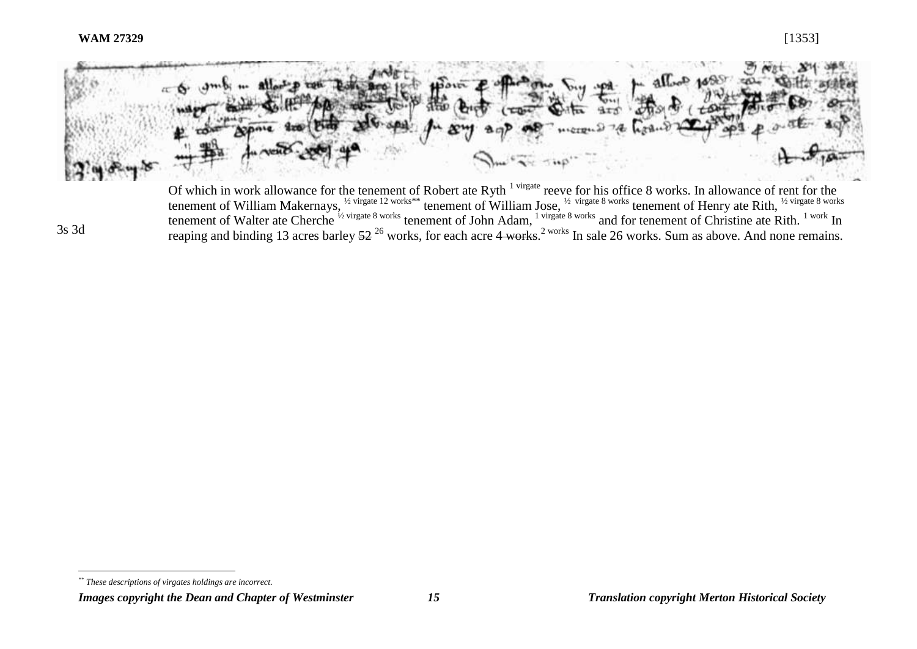3s 3d

 $\overline{a}$ 



Of which in work allowance for the tenement of Robert ate Ryth  $1^{r}$  virgate reeve for his office 8 works. In allowance of rent for the tenement of William Makernays, <sup>1/2</sup> virgate 12 works\*\* tenement of William Jose, <sup>1/2</sup> virgate 8 works tenement of Henry ate Rith, <sup>1/2 virgate 8 works</sup> tenement of Walter ate Cherche <sup>1/2</sup> virgate 8 works tenement of John Adam, <sup>1</sup> virgate 8 works and for tenement of Christine ate Rith. <sup>1 work</sup> In reaping and binding 13 acres barley 52<sup>26</sup> works, for each acre 4 works.<sup>2 works</sup> In sale 26 works. Sum as above. And none remains.

*Images copyright the Dean and Chapter of Westminster 15 Translation copyright Merton Historical Society*

*<sup>\*\*</sup> These descriptions of virgates holdings are incorrect.*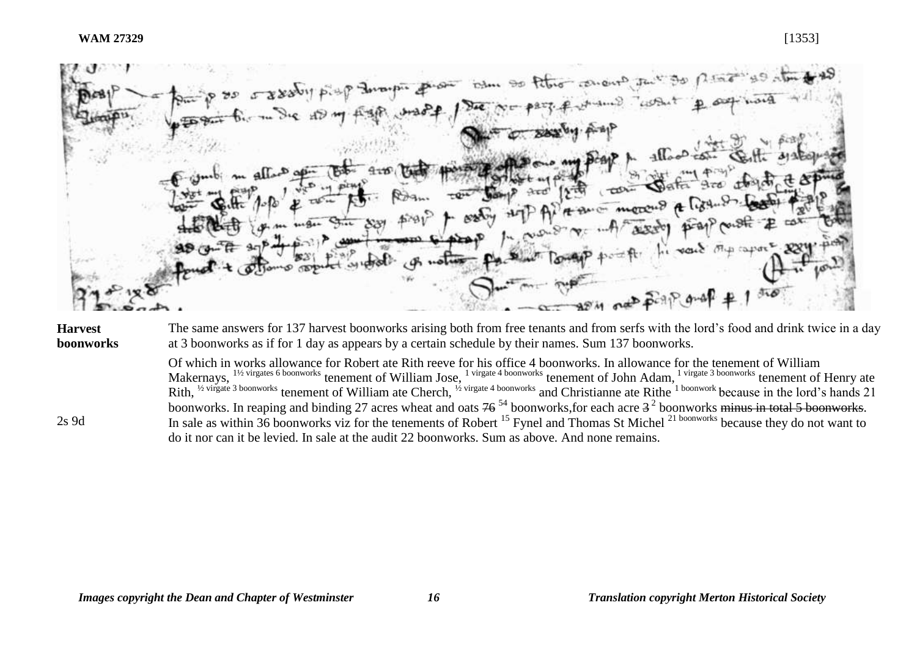Dem 90 Peters

#### **Harvest boonworks**

2s 9d

The same answers for 137 harvest boonworks arising both from free tenants and from serfs with the lord's food and drink twice in a day at 3 boonworks as if for 1 day as appears by a certain schedule by their names. Sum 137 boonworks.

Of which in works allowance for Robert ate Rith reeve for his office 4 boonworks. In allowance for the tenement of William Makernays, <sup>1½ virgates 6 boonworks</sup> tenement of William Jose, <sup>1 virgate 4 boonworks</sup> tenement of John Adam, <sup>1 virgate 3 boonworks</sup> tenement of Henry ate Rith, <sup>12</sup> virgate 3 boonworks tenement of William ate Cherch, <sup>12</sup> virgate 4 boonworks and Christianne ate Rithe <sup>1 boonwork</sup> because in the lord's hands 21 boonworks. In reaping and binding 27 acres wheat and oats  $76^{54}$  boonworks, for each acre  $3^2$  boonworks minus in total 5 boonworks. In sale as within 36 boonworks viz for the tenements of Robert <sup>15</sup> Fynel and Thomas St Michel <sup>21 boonworks</sup> because they do not want to do it nor can it be levied. In sale at the audit 22 boonworks. Sum as above. And none remains.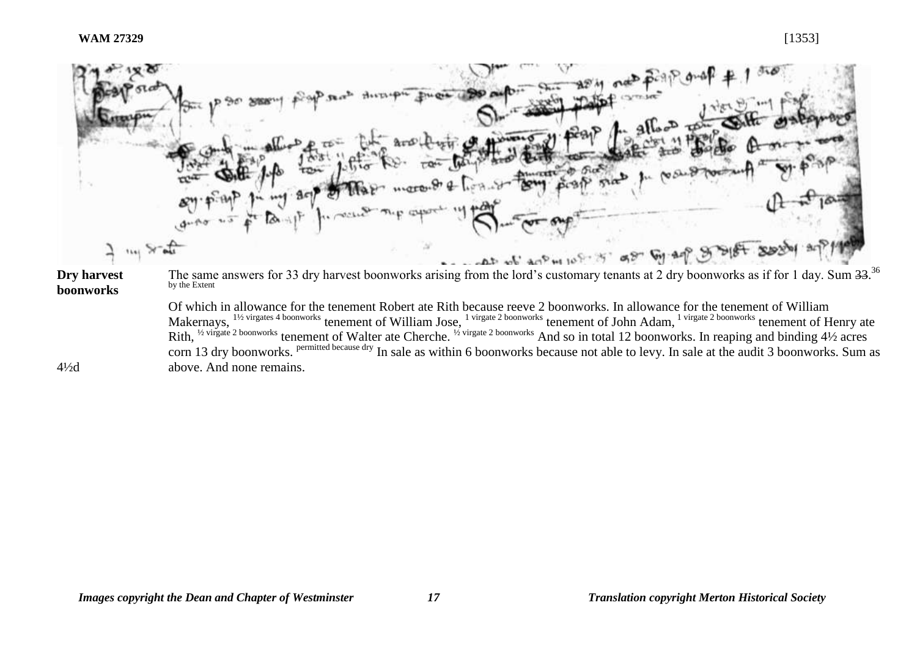

Rith, <sup>1/2</sup> virgate <sup>2</sup> boonworks tenement of Walter ate Cherche. <sup>1/2</sup> virgate <sup>2</sup> boonworks And so in total 12 boonworks. In reaping and binding 4<sup>1</sup>/2 acres corn 13 dry boonworks. Permitted because dry In sale as within 6 boonworks because not able to levy. In sale at the audit 3 boonworks. Sum as above. And none remains.

 $4\frac{1}{2}d$